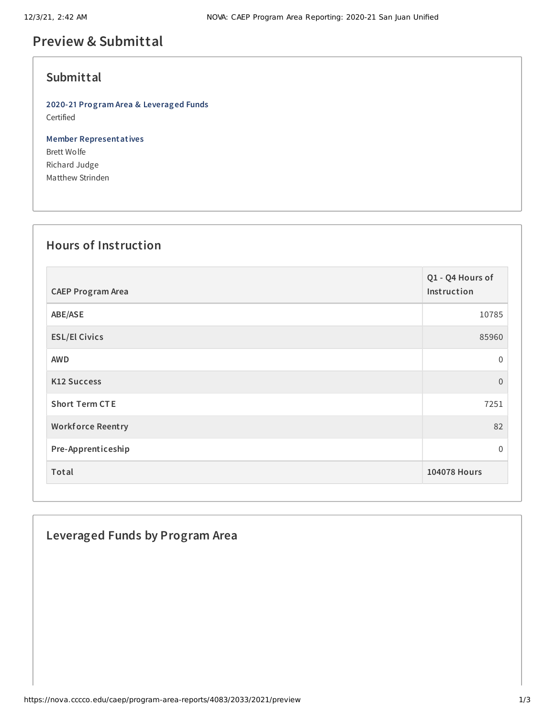# **Preview & Submittal**

### **Submittal**

**2020-21 Program Area & Leveraged Funds** Certified

**Member Representatives** Brett Wolfe Richard Judge Matthew Strinden

#### **Hours of Instruction**

| <b>CAEP Program Area</b> | Q1 - Q4 Hours of<br>Instruction |
|--------------------------|---------------------------------|
| ABE/ASE                  | 10785                           |
| <b>ESL/El Civics</b>     | 85960                           |
| <b>AWD</b>               | $\Omega$                        |
| <b>K12 Success</b>       | $\overline{0}$                  |
| <b>Short Term CTE</b>    | 7251                            |
| <b>Workforce Reentry</b> | 82                              |
| Pre-Apprenticeship       | $\mathbf{0}$                    |
| Total                    | <b>104078 Hours</b>             |

## **Leveraged Funds by Program Area**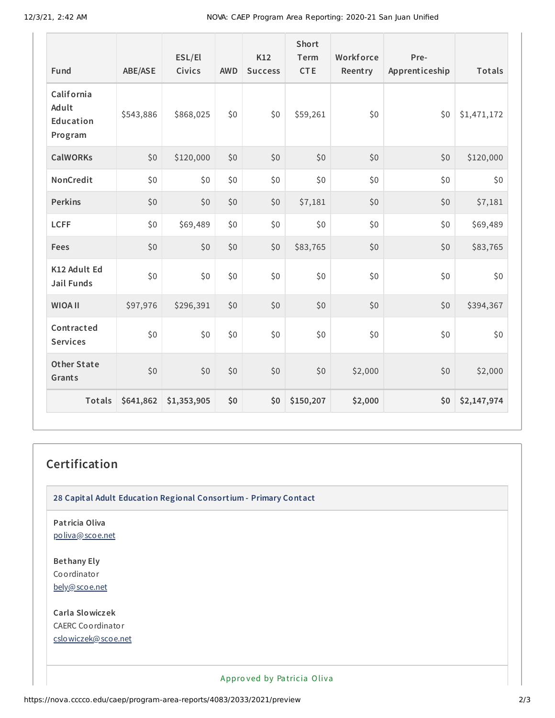| Fund                                        | <b>ABE/ASE</b> | ESL/El<br>Civics | <b>AWD</b> | K12<br><b>Success</b> | Short<br>Term<br><b>CTE</b> | Workforce<br>Reentry | Pre-<br>Apprenticeship | Totals      |
|---------------------------------------------|----------------|------------------|------------|-----------------------|-----------------------------|----------------------|------------------------|-------------|
| California<br>Adult<br>Education<br>Program | \$543,886      | \$868,025        | \$0        | \$0                   | \$59,261                    | \$0                  | \$0                    | \$1,471,172 |
| <b>CalWORKs</b>                             | \$0            | \$120,000        | \$0        | \$0                   | \$0                         | \$0                  | \$0                    | \$120,000   |
| NonCredit                                   | \$0            | \$0              | \$0        | \$0                   | \$0                         | \$0                  | \$0                    | \$0         |
| <b>Perkins</b>                              | \$0            | \$0              | \$0        | \$0                   | \$7,181                     | \$0                  | \$0                    | \$7,181     |
| <b>LCFF</b>                                 | \$0            | \$69,489         | \$0        | \$0                   | \$0                         | \$0                  | \$0                    | \$69,489    |
| Fees                                        | \$0            | \$0              | \$0        | \$0                   | \$83,765                    | \$0                  | \$0                    | \$83,765    |
| K12 Adult Ed<br><b>Jail Funds</b>           | \$0            | \$0              | \$0        | \$0                   | \$0                         | \$0                  | \$0                    | \$0         |
| <b>WIOA II</b>                              | \$97,976       | \$296,391        | \$0        | \$0                   | \$0                         | \$0                  | \$0                    | \$394,367   |
| Contracted<br><b>Services</b>               | \$0            | \$0              | \$0        | \$0                   | \$0                         | \$0                  | \$0                    | \$0         |
| <b>Other State</b><br>Grants                | \$0            | \$0              | \$0        | \$0                   | \$0                         | \$2,000              | \$0                    | \$2,000     |
| Totals                                      | \$641,862      | \$1,353,905      | \$0        | \$0                   | \$150,207                   | \$2,000              | \$0                    | \$2,147,974 |

### **Certification**

**28 Capital Adult Education Regional Consortium - Primary Contact**

**Patricia Oliva** [poliva@scoe.net](mailto:poliva@scoe.net)

**Bethany Ely** Coordinator [bely@scoe.net](mailto:bely@scoe.net)

**Carla Slowiczek** CAERC Coordinator [cslowiczek@scoe.net](mailto:cslowiczek@scoe.net)

Appro ved by Pa tricia Oliva